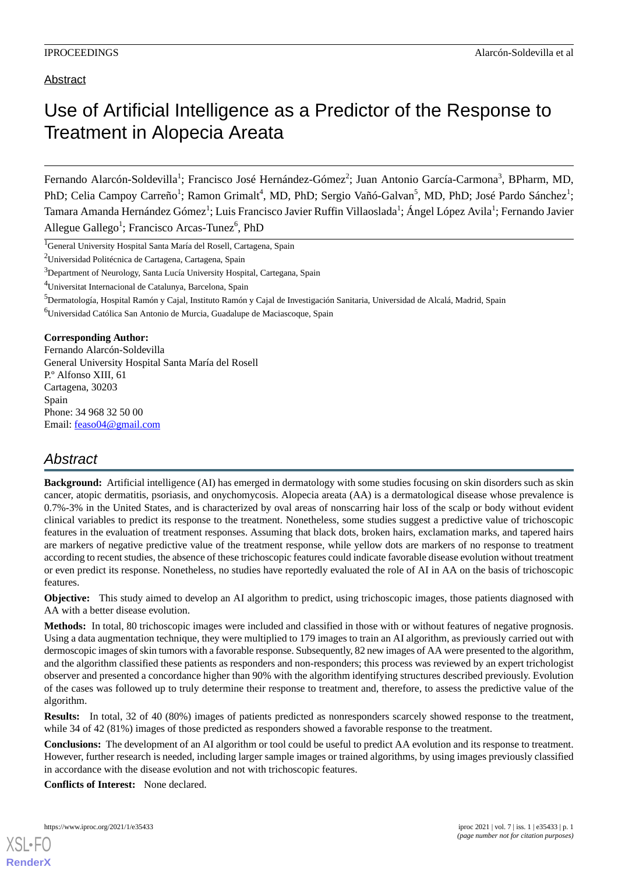# Abstract

# Use of Artificial Intelligence as a Predictor of the Response to Treatment in Alopecia Areata

Fernando Alarcón-Soldevilla<sup>1</sup>; Francisco José Hernández-Gómez<sup>2</sup>; Juan Antonio García-Carmona<sup>3</sup>, BPharm, MD, PhD; Celia Campoy Carreño<sup>1</sup>; Ramon Grimalt<sup>4</sup>, MD, PhD; Sergio Vañó-Galvan<sup>5</sup>, MD, PhD; José Pardo Sánchez<sup>1</sup>; Tamara Amanda Hernández Gómez<sup>1</sup>; Luis Francisco Javier Ruffin Villaoslada<sup>1</sup>; Ángel López Avila<sup>1</sup>; Fernando Javier Allegue Gallego<sup>1</sup>; Francisco Arcas-Tunez<sup>6</sup>, PhD

<sup>4</sup>Universitat Internacional de Catalunya, Barcelona, Spain

<sup>6</sup>Universidad Católica San Antonio de Murcia, Guadalupe de Maciascoque, Spain

### **Corresponding Author:**

Fernando Alarcón-Soldevilla General University Hospital Santa María del Rosell P.º Alfonso XIII, 61 Cartagena, 30203 Spain Phone: 34 968 32 50 00 Email: [feaso04@gmail.com](mailto:feaso04@gmail.com)

# *Abstract*

**Background:** Artificial intelligence (AI) has emerged in dermatology with some studies focusing on skin disorders such as skin cancer, atopic dermatitis, psoriasis, and onychomycosis. Alopecia areata (AA) is a dermatological disease whose prevalence is 0.7%-3% in the United States, and is characterized by oval areas of nonscarring hair loss of the scalp or body without evident clinical variables to predict its response to the treatment. Nonetheless, some studies suggest a predictive value of trichoscopic features in the evaluation of treatment responses. Assuming that black dots, broken hairs, exclamation marks, and tapered hairs are markers of negative predictive value of the treatment response, while yellow dots are markers of no response to treatment according to recent studies, the absence of these trichoscopic features could indicate favorable disease evolution without treatment or even predict its response. Nonetheless, no studies have reportedly evaluated the role of AI in AA on the basis of trichoscopic features.

**Objective:** This study aimed to develop an AI algorithm to predict, using trichoscopic images, those patients diagnosed with AA with a better disease evolution.

**Methods:** In total, 80 trichoscopic images were included and classified in those with or without features of negative prognosis. Using a data augmentation technique, they were multiplied to 179 images to train an AI algorithm, as previously carried out with dermoscopic images of skin tumors with a favorable response. Subsequently, 82 new images of AA were presented to the algorithm, and the algorithm classified these patients as responders and non-responders; this process was reviewed by an expert trichologist observer and presented a concordance higher than 90% with the algorithm identifying structures described previously. Evolution of the cases was followed up to truly determine their response to treatment and, therefore, to assess the predictive value of the algorithm.

**Results:** In total, 32 of 40 (80%) images of patients predicted as nonresponders scarcely showed response to the treatment, while 34 of 42 (81%) images of those predicted as responders showed a favorable response to the treatment.

**Conclusions:** The development of an AI algorithm or tool could be useful to predict AA evolution and its response to treatment. However, further research is needed, including larger sample images or trained algorithms, by using images previously classified in accordance with the disease evolution and not with trichoscopic features.

**Conflicts of Interest:** None declared.



**[RenderX](http://www.renderx.com/)**

<sup>&</sup>lt;sup>1</sup>General University Hospital Santa María del Rosell, Cartagena, Spain

<sup>2</sup>Universidad Politécnica de Cartagena, Cartagena, Spain

<sup>&</sup>lt;sup>3</sup>Department of Neurology, Santa Lucía University Hospital, Cartegana, Spain

<sup>&</sup>lt;sup>5</sup>Dermatología, Hospital Ramón y Cajal, Instituto Ramón y Cajal de Investigación Sanitaria, Universidad de Alcalá, Madrid, Spain